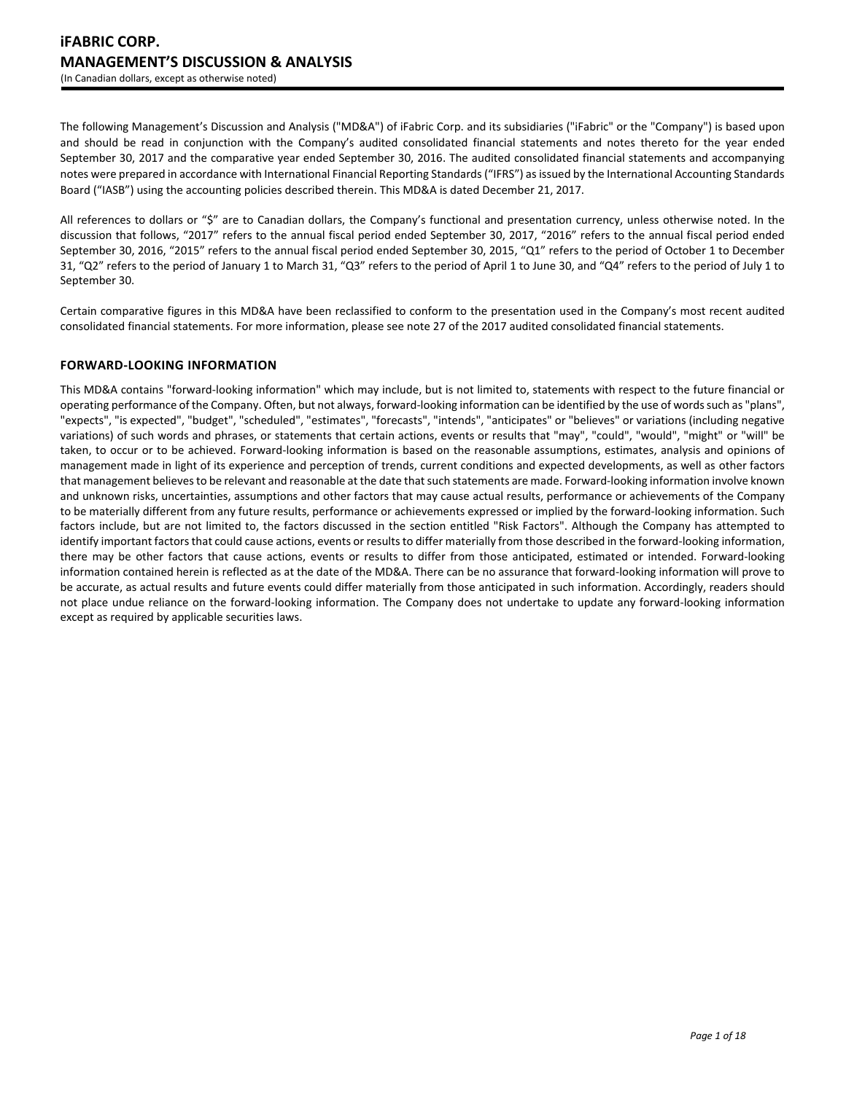The following Management's Discussion and Analysis ("MD&A") of iFabric Corp. and its subsidiaries ("iFabric" or the "Company") is based upon and should be read in conjunction with the Company's audited consolidated financial statements and notes thereto for the year ended September 30, 2017 and the comparative year ended September 30, 2016. The audited consolidated financial statements and accompanying notes were prepared in accordance with International Financial Reporting Standards ("IFRS") as issued by the International Accounting Standards Board ("IASB") using the accounting policies described therein. This MD&A is dated December 21, 2017.

All references to dollars or "\$" are to Canadian dollars, the Company's functional and presentation currency, unless otherwise noted. In the discussion that follows, "2017" refers to the annual fiscal period ended September 30, 2017, "2016" refers to the annual fiscal period ended September 30, 2016, "2015" refers to the annual fiscal period ended September 30, 2015, "Q1" refers to the period of October 1 to December 31, "Q2" refers to the period of January 1 to March 31, "Q3" refers to the period of April 1 to June 30, and "Q4" refers to the period of July 1 to September 30.

Certain comparative figures in this MD&A have been reclassified to conform to the presentation used in the Company's most recent audited consolidated financial statements. For more information, please see note 27 of the 2017 audited consolidated financial statements.

# **FORWARD-LOOKING INFORMATION**

This MD&A contains "forward-looking information" which may include, but is not limited to, statements with respect to the future financial or operating performance of the Company. Often, but not always, forward-looking information can be identified by the use of words such as "plans", "expects", "is expected", "budget", "scheduled", "estimates", "forecasts", "intends", "anticipates" or "believes" or variations (including negative variations) of such words and phrases, or statements that certain actions, events or results that "may", "could", "would", "might" or "will" be taken, to occur or to be achieved. Forward-looking information is based on the reasonable assumptions, estimates, analysis and opinions of management made in light of its experience and perception of trends, current conditions and expected developments, as well as other factors that management believes to be relevant and reasonable at the date that such statements are made. Forward-looking information involve known and unknown risks, uncertainties, assumptions and other factors that may cause actual results, performance or achievements of the Company to be materially different from any future results, performance or achievements expressed or implied by the forward-looking information. Such factors include, but are not limited to, the factors discussed in the section entitled "Risk Factors". Although the Company has attempted to identify important factors that could cause actions, events or results to differ materially from those described in the forward-looking information, there may be other factors that cause actions, events or results to differ from those anticipated, estimated or intended. Forward-looking information contained herein is reflected as at the date of the MD&A. There can be no assurance that forward-looking information will prove to be accurate, as actual results and future events could differ materially from those anticipated in such information. Accordingly, readers should not place undue reliance on the forward-looking information. The Company does not undertake to update any forward-looking information except as required by applicable securities laws.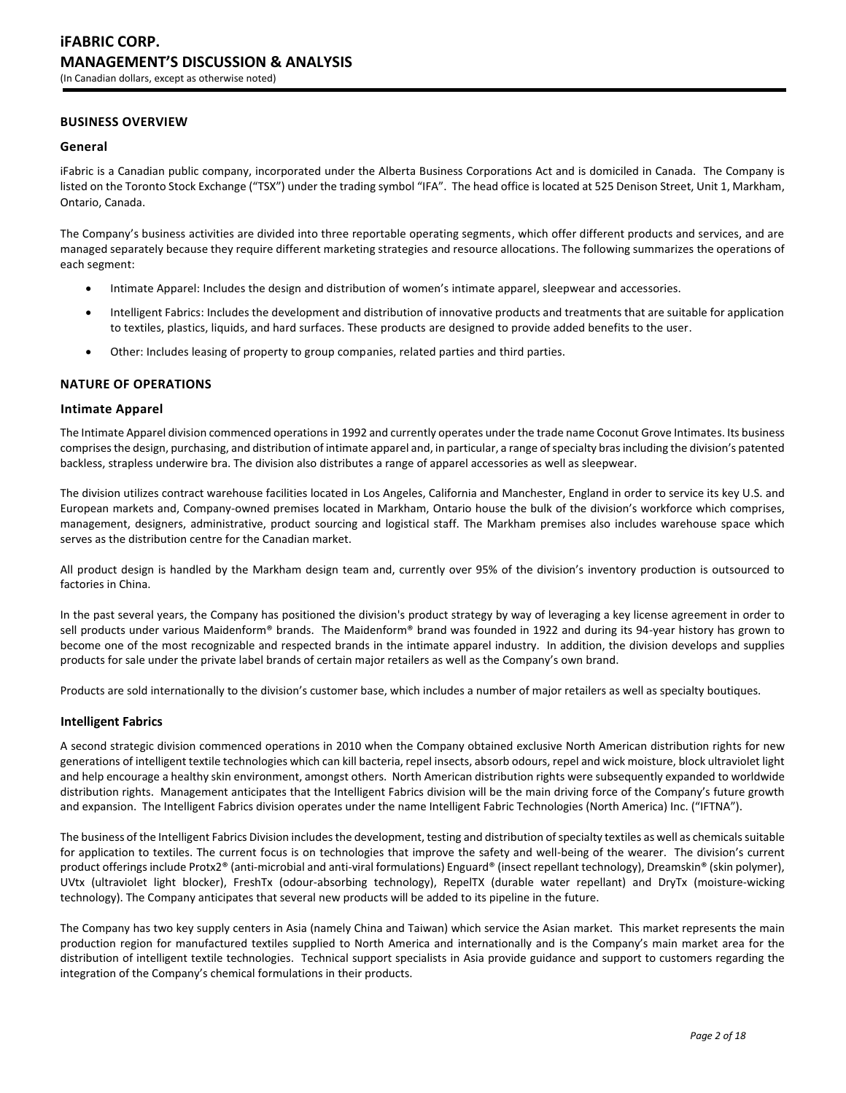# **BUSINESS OVERVIEW**

# **General**

iFabric is a Canadian public company, incorporated under the Alberta Business Corporations Act and is domiciled in Canada. The Company is listed on the Toronto Stock Exchange ("TSX") under the trading symbol "IFA". The head office is located at 525 Denison Street, Unit 1, Markham, Ontario, Canada.

The Company's business activities are divided into three reportable operating segments, which offer different products and services, and are managed separately because they require different marketing strategies and resource allocations. The following summarizes the operations of each segment:

- Intimate Apparel: Includes the design and distribution of women's intimate apparel, sleepwear and accessories.
- Intelligent Fabrics: Includes the development and distribution of innovative products and treatments that are suitable for application to textiles, plastics, liquids, and hard surfaces. These products are designed to provide added benefits to the user.
- Other: Includes leasing of property to group companies, related parties and third parties.

# **NATURE OF OPERATIONS**

# **Intimate Apparel**

The Intimate Apparel division commenced operations in 1992 and currently operates under the trade name Coconut Grove Intimates. Its business comprises the design, purchasing, and distribution of intimate apparel and, in particular, a range of specialty bras including the division's patented backless, strapless underwire bra. The division also distributes a range of apparel accessories as well as sleepwear.

The division utilizes contract warehouse facilities located in Los Angeles, California and Manchester, England in order to service its key U.S. and European markets and, Company-owned premises located in Markham, Ontario house the bulk of the division's workforce which comprises, management, designers, administrative, product sourcing and logistical staff. The Markham premises also includes warehouse space which serves as the distribution centre for the Canadian market.

All product design is handled by the Markham design team and, currently over 95% of the division's inventory production is outsourced to factories in China.

In the past several years, the Company has positioned the division's product strategy by way of leveraging a key license agreement in order to sell products under various Maidenform® brands. The Maidenform® brand was founded in 1922 and during its 94-year history has grown to become one of the most recognizable and respected brands in the intimate apparel industry. In addition, the division develops and supplies products for sale under the private label brands of certain major retailers as well as the Company's own brand.

Products are sold internationally to the division's customer base, which includes a number of major retailers as well as specialty boutiques.

# **Intelligent Fabrics**

A second strategic division commenced operations in 2010 when the Company obtained exclusive North American distribution rights for new generations of intelligent textile technologies which can kill bacteria, repel insects, absorb odours, repel and wick moisture, block ultraviolet light and help encourage a healthy skin environment, amongst others. North American distribution rights were subsequently expanded to worldwide distribution rights. Management anticipates that the Intelligent Fabrics division will be the main driving force of the Company's future growth and expansion. The Intelligent Fabrics division operates under the name Intelligent Fabric Technologies (North America) Inc. ("IFTNA").

The business of the Intelligent Fabrics Division includes the development, testing and distribution of specialty textiles as well as chemicals suitable for application to textiles. The current focus is on technologies that improve the safety and well-being of the wearer. The division's current product offerings include Protx2® (anti-microbial and anti-viral formulations) Enguard® (insect repellant technology), Dreamskin® (skin polymer), UVtx (ultraviolet light blocker), FreshTx (odour-absorbing technology), RepelTX (durable water repellant) and DryTx (moisture-wicking technology). The Company anticipates that several new products will be added to its pipeline in the future.

The Company has two key supply centers in Asia (namely China and Taiwan) which service the Asian market. This market represents the main production region for manufactured textiles supplied to North America and internationally and is the Company's main market area for the distribution of intelligent textile technologies. Technical support specialists in Asia provide guidance and support to customers regarding the integration of the Company's chemical formulations in their products.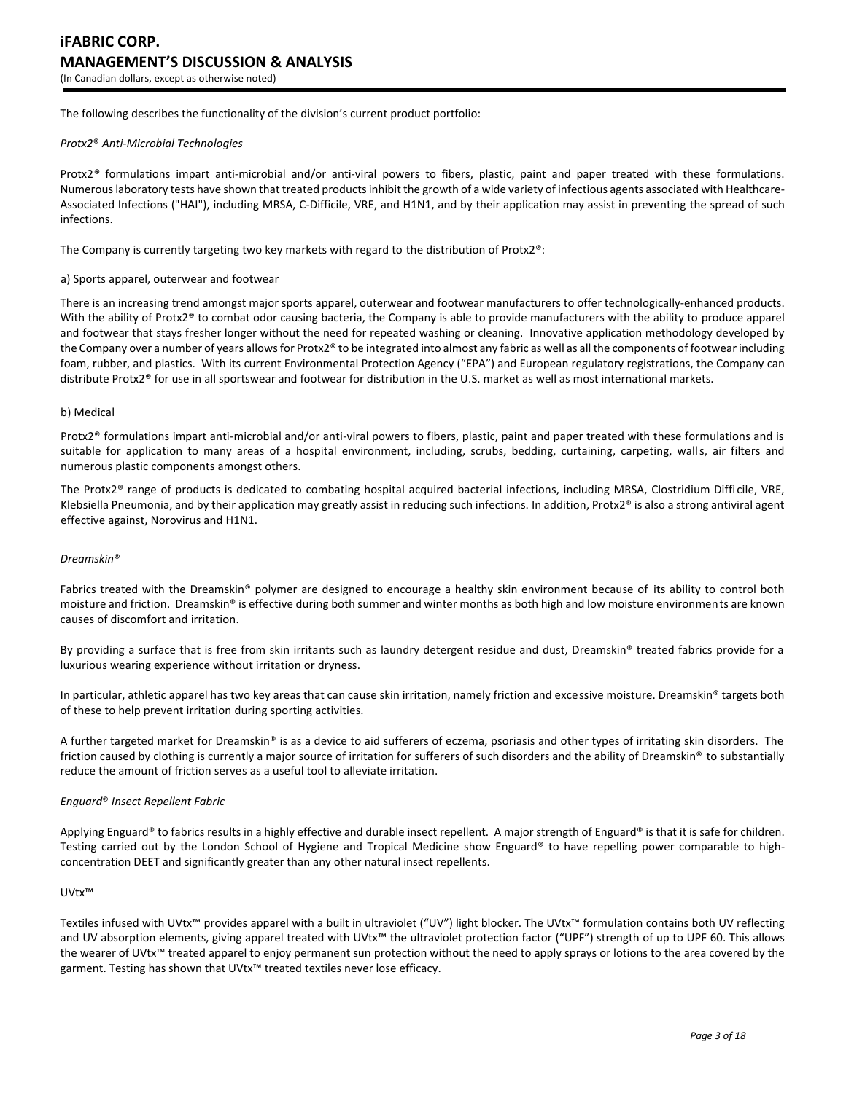The following describes the functionality of the division's current product portfolio:

### *Protx2*® *Anti-Microbial Technologies*

Protx2*®* formulations impart anti-microbial and/or anti-viral powers to fibers, plastic, paint and paper treated with these formulations. Numerous laboratory tests have shown that treated products inhibit the growth of a wide variety of infectious agents associated with Healthcare-Associated Infections ("HAI"), including MRSA, C-Difficile, VRE, and H1N1, and by their application may assist in preventing the spread of such infections.

The Company is currently targeting two key markets with regard to the distribution of Protx2®:

#### a) Sports apparel, outerwear and footwear

There is an increasing trend amongst major sports apparel, outerwear and footwear manufacturers to offer technologically-enhanced products. With the ability of Protx2<sup>®</sup> to combat odor causing bacteria, the Company is able to provide manufacturers with the ability to produce apparel and footwear that stays fresher longer without the need for repeated washing or cleaning. Innovative application methodology developed by the Company over a number of years allows for Protx2® to be integrated into almost any fabric as well as all the components of footwear including foam, rubber, and plastics. With its current Environmental Protection Agency ("EPA") and European regulatory registrations, the Company can distribute Protx2® for use in all sportswear and footwear for distribution in the U.S. market as well as most international markets.

#### b) Medical

Protx2® formulations impart anti-microbial and/or anti-viral powers to fibers, plastic, paint and paper treated with these formulations and is suitable for application to many areas of a hospital environment, including, scrubs, bedding, curtaining, carpeting, walls, air filters and numerous plastic components amongst others.

The Protx2® range of products is dedicated to combating hospital acquired bacterial infections, including MRSA, Clostridium Difficile, VRE, Klebsiella Pneumonia, and by their application may greatly assist in reducing such infections. In addition, Protx $2<sup>®</sup>$  is also a strong antiviral agent effective against, Norovirus and H1N1.

#### *Dreamskin*®

Fabrics treated with the Dreamskin® polymer are designed to encourage a healthy skin environment because of its ability to control both moisture and friction. Dreamskin® is effective during both summer and winter months as both high and low moisture environments are known causes of discomfort and irritation.

By providing a surface that is free from skin irritants such as laundry detergent residue and dust, Dreamskin® treated fabrics provide for a luxurious wearing experience without irritation or dryness.

In particular, athletic apparel has two key areas that can cause skin irritation, namely friction and excessive moisture. Dreamskin® targets both of these to help prevent irritation during sporting activities.

A further targeted market for Dreamskin® is as a device to aid sufferers of eczema, psoriasis and other types of irritating skin disorders. The friction caused by clothing is currently a major source of irritation for sufferers of such disorders and the ability of Dreamskin® to substantially reduce the amount of friction serves as a useful tool to alleviate irritation.

# *Enguard*® *Insect Repellent Fabric*

Applying Enguard® to fabrics results in a highly effective and durable insect repellent. A major strength of Enguard® is that it is safe for children. Testing carried out by the London School of Hygiene and Tropical Medicine show Enguard® to have repelling power comparable to highconcentration DEET and significantly greater than any other natural insect repellents.

#### UVtx™

Textiles infused with UVtx™ provides apparel with a built in ultraviolet ("UV") light blocker. The UVtx™ formulation contains both UV reflecting and UV absorption elements, giving apparel treated with UVtx™ the ultraviolet protection factor ("UPF") strength of up to UPF 60. This allows the wearer of UVtx™ treated apparel to enjoy permanent sun protection without the need to apply sprays or lotions to the area covered by the garment. Testing has shown that UVtx<sup>™</sup> treated textiles never lose efficacy.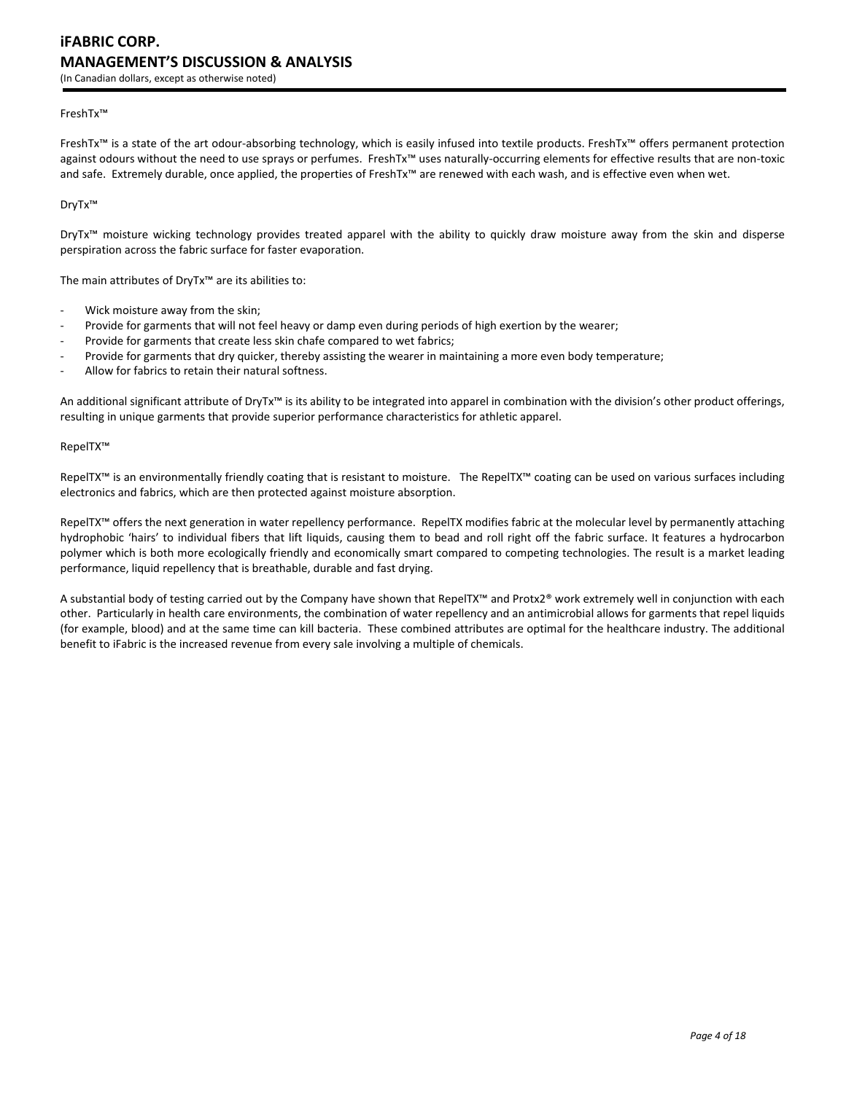# FreshTx™

FreshTx™ is a state of the art odour-absorbing technology, which is easily infused into textile products. FreshTx™ offers permanent protection against odours without the need to use sprays or perfumes. FreshTx™ uses naturally-occurring elements for effective results that are non-toxic and safe. Extremely durable, once applied, the properties of FreshTx™ are renewed with each wash, and is effective even when wet.

DryTx™

DryTx™ moisture wicking technology provides treated apparel with the ability to quickly draw moisture away from the skin and disperse perspiration across the fabric surface for faster evaporation.

The main attributes of DryTx™ are its abilities to:

- Wick moisture away from the skin;
- Provide for garments that will not feel heavy or damp even during periods of high exertion by the wearer;
- Provide for garments that create less skin chafe compared to wet fabrics;
- Provide for garments that dry quicker, thereby assisting the wearer in maintaining a more even body temperature;
- Allow for fabrics to retain their natural softness.

An additional significant attribute of DryTx<sup>™</sup> is its ability to be integrated into apparel in combination with the division's other product offerings, resulting in unique garments that provide superior performance characteristics for athletic apparel.

#### RepelTX™

RepelTX<sup>™</sup> is an environmentally friendly coating that is resistant to moisture. The RepelTX™ coating can be used on various surfaces including electronics and fabrics, which are then protected against moisture absorption.

RepelTX™ offers the next generation in water repellency performance. RepelTX modifies fabric at the molecular level by permanently attaching hydrophobic 'hairs' to individual fibers that lift liquids, causing them to bead and roll right off the fabric surface. It features a hydrocarbon polymer which is both more ecologically friendly and economically smart compared to competing technologies. The result is a market leading performance, liquid repellency that is breathable, durable and fast drying.

A substantial body of testing carried out by the Company have shown that RepelTX™ and Protx2® work extremely well in conjunction with each other. Particularly in health care environments, the combination of water repellency and an antimicrobial allows for garments that repel liquids (for example, blood) and at the same time can kill bacteria. These combined attributes are optimal for the healthcare industry. The additional benefit to iFabric is the increased revenue from every sale involving a multiple of chemicals.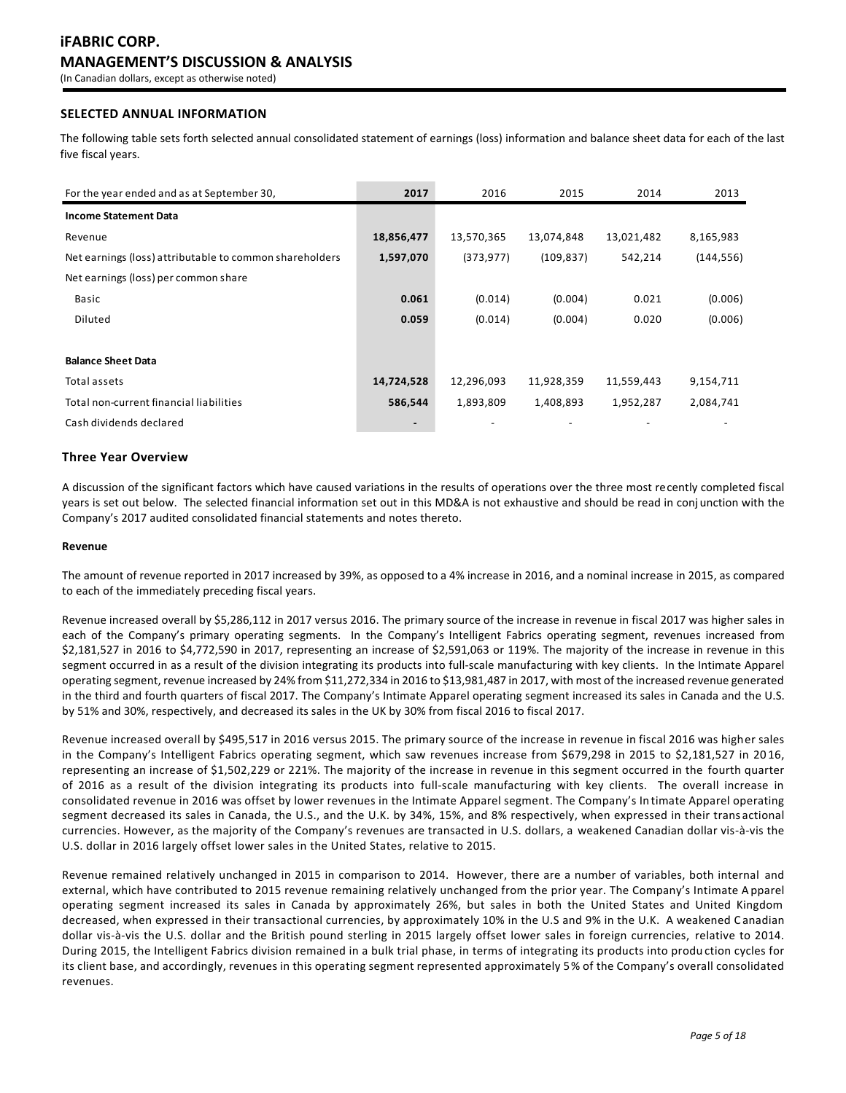# **SELECTED ANNUAL INFORMATION**

The following table sets forth selected annual consolidated statement of earnings (loss) information and balance sheet data for each of the last five fiscal years.

| For the year ended and as at September 30,              | 2017       | 2016       | 2015       | 2014       | 2013       |
|---------------------------------------------------------|------------|------------|------------|------------|------------|
| <b>Income Statement Data</b>                            |            |            |            |            |            |
| Revenue                                                 | 18,856,477 | 13,570,365 | 13,074,848 | 13,021,482 | 8,165,983  |
| Net earnings (loss) attributable to common shareholders | 1,597,070  | (373, 977) | (109, 837) | 542,214    | (144, 556) |
| Net earnings (loss) per common share                    |            |            |            |            |            |
| Basic                                                   | 0.061      | (0.014)    | (0.004)    | 0.021      | (0.006)    |
| Diluted                                                 | 0.059      | (0.014)    | (0.004)    | 0.020      | (0.006)    |
|                                                         |            |            |            |            |            |
| <b>Balance Sheet Data</b>                               |            |            |            |            |            |
| Total assets                                            | 14,724,528 | 12,296,093 | 11,928,359 | 11,559,443 | 9,154,711  |
| Total non-current financial liabilities                 | 586,544    | 1,893,809  | 1,408,893  | 1,952,287  | 2,084,741  |
| Cash dividends declared                                 |            |            |            |            |            |

# **Three Year Overview**

A discussion of the significant factors which have caused variations in the results of operations over the three most recently completed fiscal years is set out below. The selected financial information set out in this MD&A is not exhaustive and should be read in conj unction with the Company's 2017 audited consolidated financial statements and notes thereto.

# **Revenue**

The amount of revenue reported in 2017 increased by 39%, as opposed to a 4% increase in 2016, and a nominal increase in 2015, as compared to each of the immediately preceding fiscal years.

Revenue increased overall by \$5,286,112 in 2017 versus 2016. The primary source of the increase in revenue in fiscal 2017 was higher sales in each of the Company's primary operating segments. In the Company's Intelligent Fabrics operating segment, revenues increased from \$2,181,527 in 2016 to \$4,772,590 in 2017, representing an increase of \$2,591,063 or 119%. The majority of the increase in revenue in this segment occurred in as a result of the division integrating its products into full-scale manufacturing with key clients. In the Intimate Apparel operating segment, revenue increased by 24% from \$11,272,334 in 2016 to \$13,981,487 in 2017, with most of the increased revenue generated in the third and fourth quarters of fiscal 2017. The Company's Intimate Apparel operating segment increased its sales in Canada and the U.S. by 51% and 30%, respectively, and decreased its sales in the UK by 30% from fiscal 2016 to fiscal 2017.

Revenue increased overall by \$495,517 in 2016 versus 2015. The primary source of the increase in revenue in fiscal 2016 was higher sales in the Company's Intelligent Fabrics operating segment, which saw revenues increase from \$679,298 in 2015 to \$2,181,527 in 20 16, representing an increase of \$1,502,229 or 221%. The majority of the increase in revenue in this segment occurred in the fourth quarter of 2016 as a result of the division integrating its products into full-scale manufacturing with key clients. The overall increase in consolidated revenue in 2016 was offset by lower revenues in the Intimate Apparel segment. The Company's In timate Apparel operating segment decreased its sales in Canada, the U.S., and the U.K. by 34%, 15%, and 8% respectively, when expressed in their trans actional currencies. However, as the majority of the Company's revenues are transacted in U.S. dollars, a weakened Canadian dollar vis-à-vis the U.S. dollar in 2016 largely offset lower sales in the United States, relative to 2015.

Revenue remained relatively unchanged in 2015 in comparison to 2014. However, there are a number of variables, both internal and external, which have contributed to 2015 revenue remaining relatively unchanged from the prior year. The Company's Intimate Apparel operating segment increased its sales in Canada by approximately 26%, but sales in both the United States and United Kingdom decreased, when expressed in their transactional currencies, by approximately 10% in the U.S and 9% in the U.K. A weakened C anadian dollar vis-à-vis the U.S. dollar and the British pound sterling in 2015 largely offset lower sales in foreign currencies, relative to 2014. During 2015, the Intelligent Fabrics division remained in a bulk trial phase, in terms of integrating its products into produ ction cycles for its client base, and accordingly, revenues in this operating segment represented approximately 5% of the Company's overall consolidated revenues.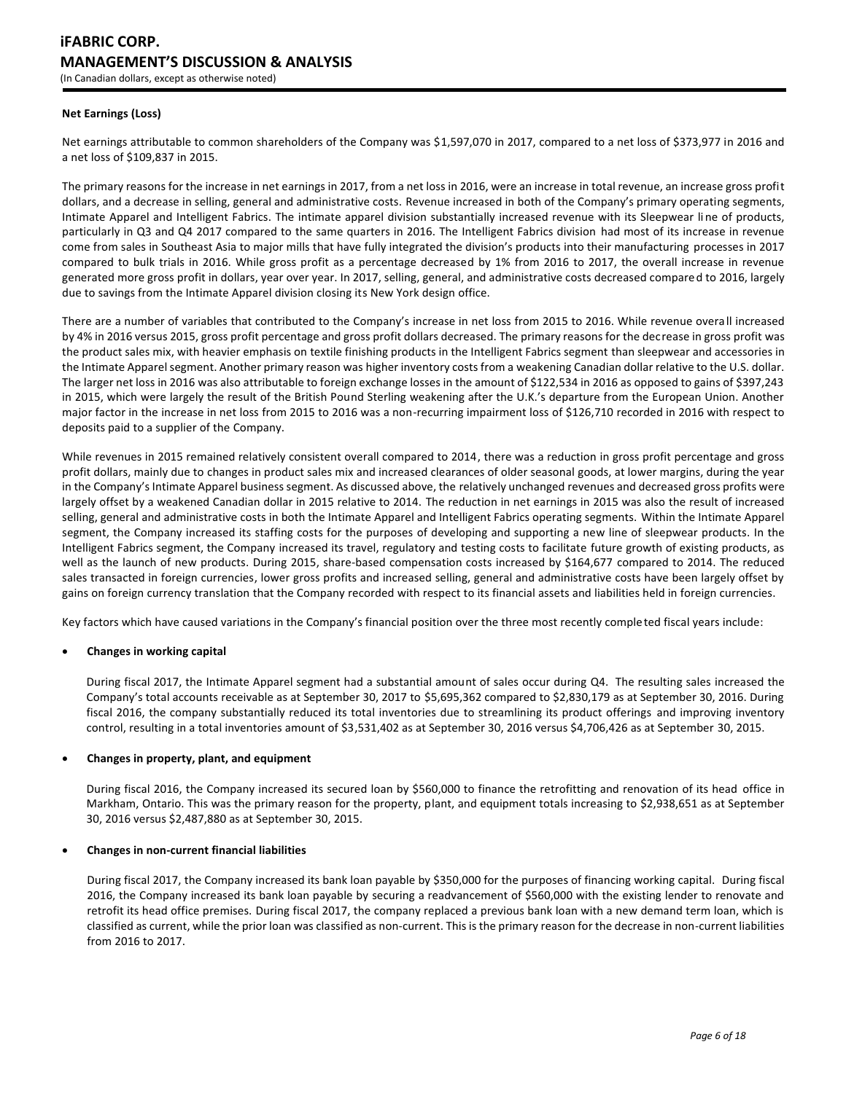# **Net Earnings (Loss)**

Net earnings attributable to common shareholders of the Company was \$1,597,070 in 2017, compared to a net loss of \$373,977 in 2016 and a net loss of \$109,837 in 2015.

The primary reasons for the increase in net earnings in 2017, from a net loss in 2016, were an increase in total revenue, an increase gross profit dollars, and a decrease in selling, general and administrative costs. Revenue increased in both of the Company's primary operating segments, Intimate Apparel and Intelligent Fabrics. The intimate apparel division substantially increased revenue with its Sleepwear line of products, particularly in Q3 and Q4 2017 compared to the same quarters in 2016. The Intelligent Fabrics division had most of its increase in revenue come from sales in Southeast Asia to major mills that have fully integrated the division's products into their manufacturing processes in 2017 compared to bulk trials in 2016. While gross profit as a percentage decreased by 1% from 2016 to 2017, the overall increase in revenue generated more gross profit in dollars, year over year. In 2017, selling, general, and administrative costs decreased compared to 2016, largely due to savings from the Intimate Apparel division closing its New York design office.

There are a number of variables that contributed to the Company's increase in net loss from 2015 to 2016. While revenue overa ll increased by 4% in 2016 versus 2015, gross profit percentage and gross profit dollars decreased. The primary reasons for the decrease in gross profit was the product sales mix, with heavier emphasis on textile finishing products in the Intelligent Fabrics segment than sleepwear and accessories in the Intimate Apparel segment. Another primary reason was higher inventory costs from a weakening Canadian dollar relative to the U.S. dollar. The larger net loss in 2016 was also attributable to foreign exchange losses in the amount of \$122,534 in 2016 as opposed to gains of \$397,243 in 2015, which were largely the result of the British Pound Sterling weakening after the U.K.'s departure from the European Union. Another major factor in the increase in net loss from 2015 to 2016 was a non-recurring impairment loss of \$126,710 recorded in 2016 with respect to deposits paid to a supplier of the Company.

While revenues in 2015 remained relatively consistent overall compared to 2014, there was a reduction in gross profit percentage and gross profit dollars, mainly due to changes in product sales mix and increased clearances of older seasonal goods, at lower margins, during the year in the Company's Intimate Apparel business segment. As discussed above, the relatively unchanged revenues and decreased gross profits were largely offset by a weakened Canadian dollar in 2015 relative to 2014. The reduction in net earnings in 2015 was also the result of increased selling, general and administrative costs in both the Intimate Apparel and Intelligent Fabrics operating segments. Within the Intimate Apparel segment, the Company increased its staffing costs for the purposes of developing and supporting a new line of sleepwear products. In the Intelligent Fabrics segment, the Company increased its travel, regulatory and testing costs to facilitate future growth of existing products, as well as the launch of new products. During 2015, share-based compensation costs increased by \$164,677 compared to 2014. The reduced sales transacted in foreign currencies, lower gross profits and increased selling, general and administrative costs have been largely offset by gains on foreign currency translation that the Company recorded with respect to its financial assets and liabilities held in foreign currencies.

Key factors which have caused variations in the Company's financial position over the three most recently completed fiscal years include:

# **Changes in working capital**

During fiscal 2017, the Intimate Apparel segment had a substantial amount of sales occur during Q4. The resulting sales increased the Company's total accounts receivable as at September 30, 2017 to \$5,695,362 compared to \$2,830,179 as at September 30, 2016. During fiscal 2016, the company substantially reduced its total inventories due to streamlining its product offerings and improving inventory control, resulting in a total inventories amount of \$3,531,402 as at September 30, 2016 versus \$4,706,426 as at September 30, 2015.

# **Changes in property, plant, and equipment**

During fiscal 2016, the Company increased its secured loan by \$560,000 to finance the retrofitting and renovation of its head office in Markham, Ontario. This was the primary reason for the property, plant, and equipment totals increasing to \$2,938,651 as at September 30, 2016 versus \$2,487,880 as at September 30, 2015.

# **Changes in non-current financial liabilities**

During fiscal 2017, the Company increased its bank loan payable by \$350,000 for the purposes of financing working capital. During fiscal 2016, the Company increased its bank loan payable by securing a readvancement of \$560,000 with the existing lender to renovate and retrofit its head office premises. During fiscal 2017, the company replaced a previous bank loan with a new demand term loan, which is classified as current, while the prior loan was classified as non-current. This is the primary reason for the decrease in non-current liabilities from 2016 to 2017.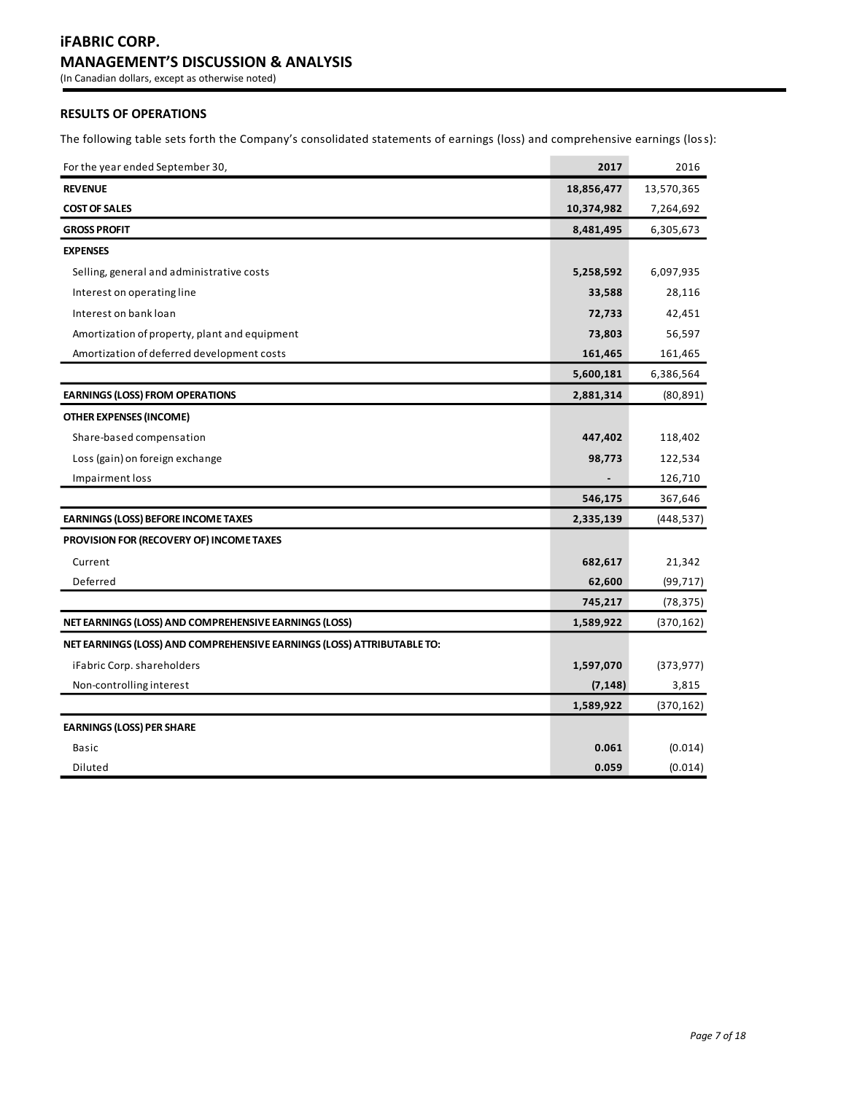# **iFABRIC CORP. MANAGEMENT'S DISCUSSION & ANALYSIS**

(In Canadian dollars, except as otherwise noted)

# **RESULTS OF OPERATIONS**

The following table sets forth the Company's consolidated statements of earnings (loss) and comprehensive earnings (loss):

| For the year ended September 30,                                       | 2017       | 2016       |
|------------------------------------------------------------------------|------------|------------|
| <b>REVENUE</b>                                                         | 18,856,477 | 13,570,365 |
| <b>COST OF SALES</b>                                                   | 10,374,982 | 7,264,692  |
| <b>GROSS PROFIT</b>                                                    | 8,481,495  | 6,305,673  |
| <b>EXPENSES</b>                                                        |            |            |
| Selling, general and administrative costs                              | 5,258,592  | 6,097,935  |
| Interest on operating line                                             | 33,588     | 28,116     |
| Interest on bank loan                                                  | 72,733     | 42,451     |
| Amortization of property, plant and equipment                          | 73,803     | 56,597     |
| Amortization of deferred development costs                             | 161,465    | 161,465    |
|                                                                        | 5,600,181  | 6,386,564  |
| <b>EARNINGS (LOSS) FROM OPERATIONS</b>                                 | 2,881,314  | (80, 891)  |
| <b>OTHER EXPENSES (INCOME)</b>                                         |            |            |
| Share-based compensation                                               | 447,402    | 118,402    |
| Loss (gain) on foreign exchange                                        | 98,773     | 122,534    |
| Impairment loss                                                        |            | 126,710    |
|                                                                        | 546,175    | 367,646    |
| <b>EARNINGS (LOSS) BEFORE INCOME TAXES</b>                             | 2,335,139  | (448,537)  |
| PROVISION FOR (RECOVERY OF) INCOME TAXES                               |            |            |
| Current                                                                | 682,617    | 21,342     |
| Deferred                                                               | 62,600     | (99, 717)  |
|                                                                        | 745,217    | (78, 375)  |
| NET EARNINGS (LOSS) AND COMPREHENSIVE EARNINGS (LOSS)                  | 1,589,922  | (370, 162) |
| NET EARNINGS (LOSS) AND COMPREHENSIVE EARNINGS (LOSS) ATTRIBUTABLE TO: |            |            |
| iFabric Corp. shareholders                                             | 1,597,070  | (373, 977) |
| Non-controlling interest                                               | (7, 148)   | 3,815      |
|                                                                        | 1,589,922  | (370, 162) |
| <b>EARNINGS (LOSS) PER SHARE</b>                                       |            |            |
| <b>Basic</b>                                                           | 0.061      | (0.014)    |
| Diluted                                                                | 0.059      | (0.014)    |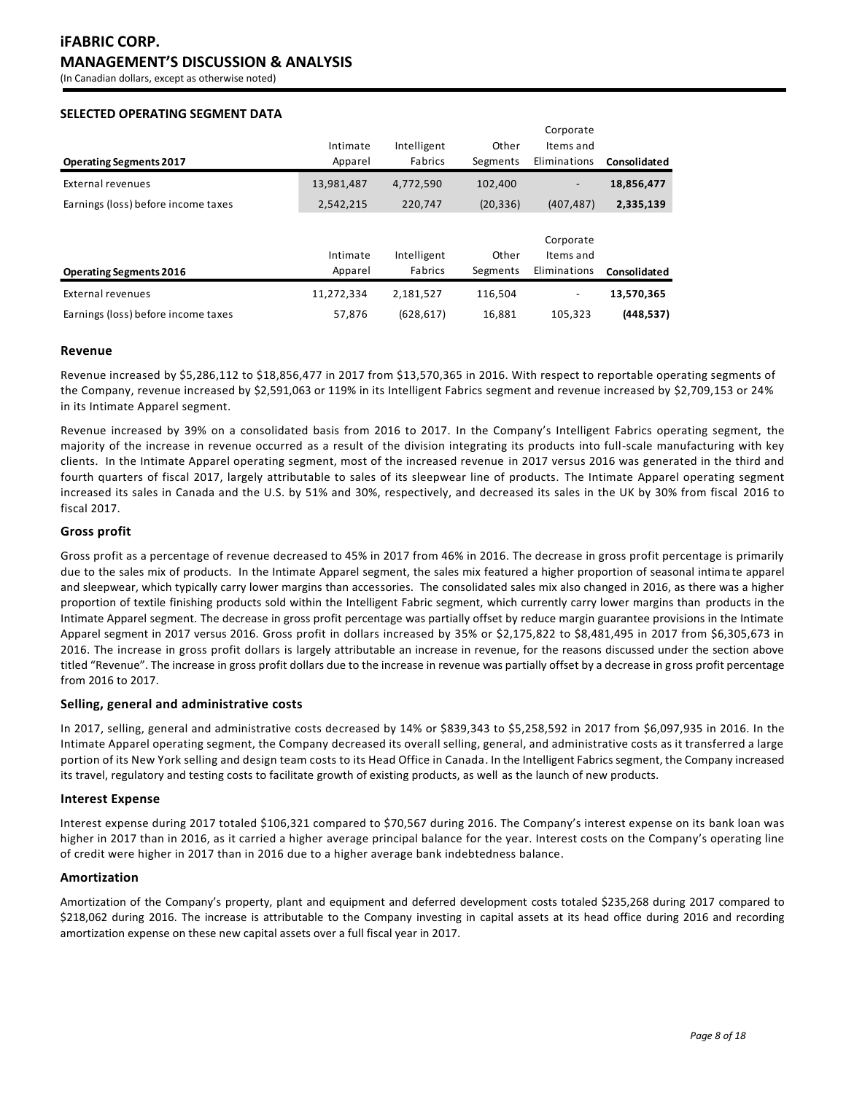(In Canadian dollars, except as otherwise noted)

# **SELECTED OPERATING SEGMENT DATA**

|                                     |            |             |           | Corporate    |              |
|-------------------------------------|------------|-------------|-----------|--------------|--------------|
|                                     | Intimate   | Intelligent | Other     | Items and    |              |
| <b>Operating Segments 2017</b>      | Apparel    | Fabrics     | Segments  | Eliminations | Consolidated |
| External revenues                   | 13,981,487 | 4,772,590   | 102.400   |              | 18,856,477   |
| Earnings (loss) before income taxes | 2,542,215  | 220.747     | (20, 336) | (407.487)    | 2,335,139    |
|                                     |            |             |           |              |              |
|                                     |            |             |           | Corporate    |              |
|                                     | Intimate   | Intelligent | Other     | Items and    |              |
| <b>Operating Segments 2016</b>      | Apparel    | Fabrics     | Segments  | Eliminations | Consolidated |
| <b>External revenues</b>            | 11,272,334 | 2,181,527   | 116,504   | -            | 13,570,365   |
| Earnings (loss) before income taxes | 57.876     | (628, 617)  | 16,881    | 105.323      | (448, 537)   |

# **Revenue**

Revenue increased by \$5,286,112 to \$18,856,477 in 2017 from \$13,570,365 in 2016. With respect to reportable operating segments of the Company, revenue increased by \$2,591,063 or 119% in its Intelligent Fabrics segment and revenue increased by \$2,709,153 or 24% in its Intimate Apparel segment.

Revenue increased by 39% on a consolidated basis from 2016 to 2017. In the Company's Intelligent Fabrics operating segment, the majority of the increase in revenue occurred as a result of the division integrating its products into full-scale manufacturing with key clients. In the Intimate Apparel operating segment, most of the increased revenue in 2017 versus 2016 was generated in the third and fourth quarters of fiscal 2017, largely attributable to sales of its sleepwear line of products. The Intimate Apparel operating segment increased its sales in Canada and the U.S. by 51% and 30%, respectively, and decreased its sales in the UK by 30% from fiscal 2016 to fiscal 2017.

# **Gross profit**

Gross profit as a percentage of revenue decreased to 45% in 2017 from 46% in 2016. The decrease in gross profit percentage is primarily due to the sales mix of products. In the Intimate Apparel segment, the sales mix featured a higher proportion of seasonal intima te apparel and sleepwear, which typically carry lower margins than accessories. The consolidated sales mix also changed in 2016, as there was a higher proportion of textile finishing products sold within the Intelligent Fabric segment, which currently carry lower margins than products in the Intimate Apparel segment. The decrease in gross profit percentage was partially offset by reduce margin guarantee provisions in the Intimate Apparel segment in 2017 versus 2016. Gross profit in dollars increased by 35% or \$2,175,822 to \$8,481,495 in 2017 from \$6,305,673 in 2016. The increase in gross profit dollars is largely attributable an increase in revenue, for the reasons discussed under the section above titled "Revenue". The increase in gross profit dollars due to the increase in revenue was partially offset by a decrease in gross profit percentage from 2016 to 2017.

# **Selling, general and administrative costs**

In 2017, selling, general and administrative costs decreased by 14% or \$839,343 to \$5,258,592 in 2017 from \$6,097,935 in 2016. In the Intimate Apparel operating segment, the Company decreased its overall selling, general, and administrative costs as it transferred a large portion of its New York selling and design team costs to its Head Office in Canada. In the Intelligent Fabrics segment, the Company increased its travel, regulatory and testing costs to facilitate growth of existing products, as well as the launch of new products.

#### **Interest Expense**

Interest expense during 2017 totaled \$106,321 compared to \$70,567 during 2016. The Company's interest expense on its bank loan was higher in 2017 than in 2016, as it carried a higher average principal balance for the year. Interest costs on the Company's operating line of credit were higher in 2017 than in 2016 due to a higher average bank indebtedness balance.

# **Amortization**

Amortization of the Company's property, plant and equipment and deferred development costs totaled \$235,268 during 2017 compared to \$218,062 during 2016. The increase is attributable to the Company investing in capital assets at its head office during 2016 and recording amortization expense on these new capital assets over a full fiscal year in 2017.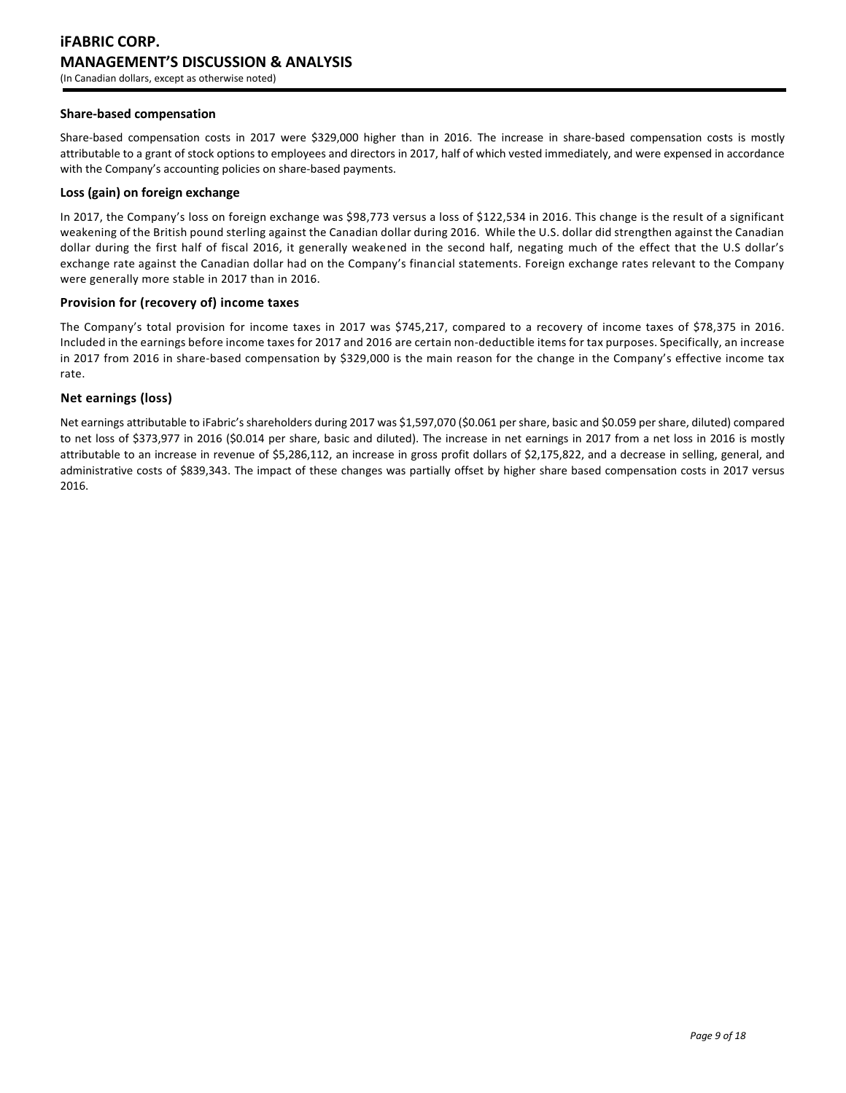# **Share-based compensation**

Share-based compensation costs in 2017 were \$329,000 higher than in 2016. The increase in share-based compensation costs is mostly attributable to a grant of stock options to employees and directors in 2017, half of which vested immediately, and were expensed in accordance with the Company's accounting policies on share-based payments.

# **Loss (gain) on foreign exchange**

In 2017, the Company's loss on foreign exchange was \$98,773 versus a loss of \$122,534 in 2016. This change is the result of a significant weakening of the British pound sterling against the Canadian dollar during 2016. While the U.S. dollar did strengthen against the Canadian dollar during the first half of fiscal 2016, it generally weakened in the second half, negating much of the effect that the U.S dollar's exchange rate against the Canadian dollar had on the Company's financial statements. Foreign exchange rates relevant to the Company were generally more stable in 2017 than in 2016.

# **Provision for (recovery of) income taxes**

The Company's total provision for income taxes in 2017 was \$745,217, compared to a recovery of income taxes of \$78,375 in 2016. Included in the earnings before income taxes for 2017 and 2016 are certain non-deductible items for tax purposes. Specifically, an increase in 2017 from 2016 in share-based compensation by \$329,000 is the main reason for the change in the Company's effective income tax rate.

# **Net earnings (loss)**

Net earnings attributable to iFabric's shareholders during 2017 was \$1,597,070 (\$0.061 per share, basic and \$0.059 per share, diluted) compared to net loss of \$373,977 in 2016 (\$0.014 per share, basic and diluted). The increase in net earnings in 2017 from a net loss in 2016 is mostly attributable to an increase in revenue of \$5,286,112, an increase in gross profit dollars of \$2,175,822, and a decrease in selling, general, and administrative costs of \$839,343. The impact of these changes was partially offset by higher share based compensation costs in 2017 versus 2016.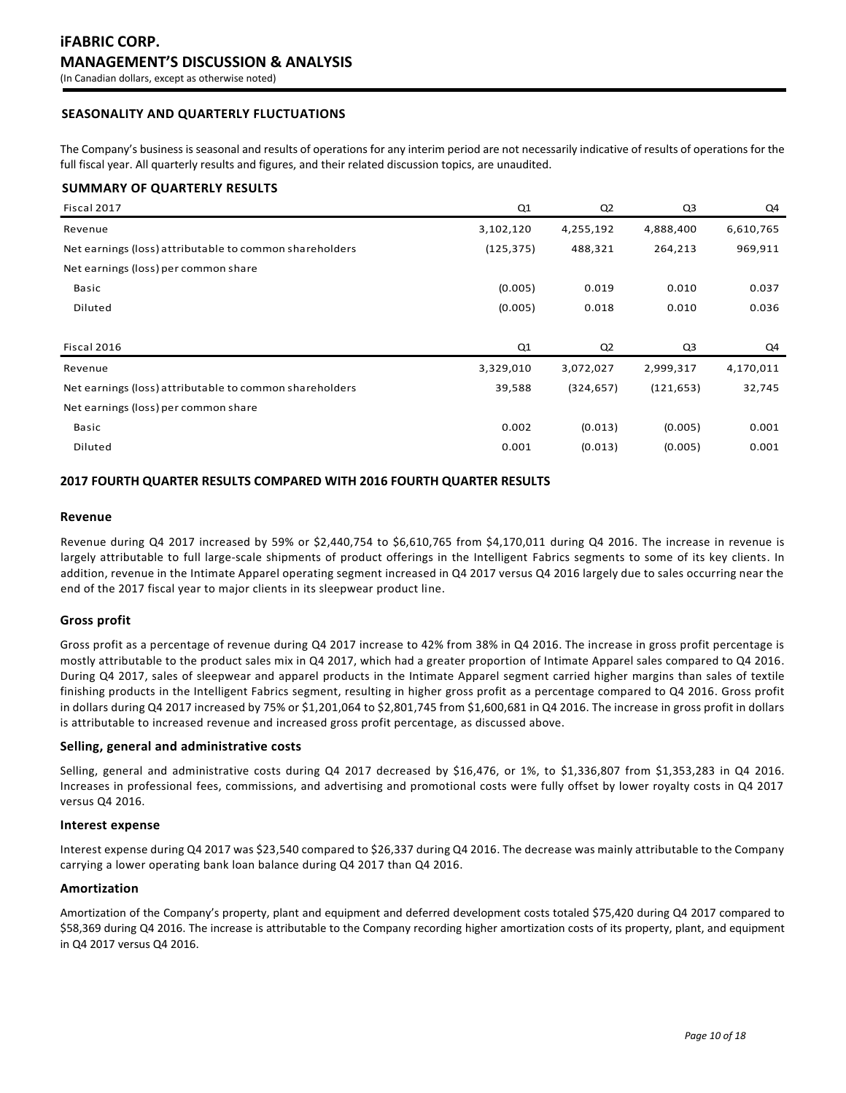# **SEASONALITY AND QUARTERLY FLUCTUATIONS**

The Company's business is seasonal and results of operations for any interim period are not necessarily indicative of results of operations for the full fiscal year. All quarterly results and figures, and their related discussion topics, are unaudited.

# **SUMMARY OF QUARTERLY RESULTS**

| Q1         | Q <sub>2</sub> | Q <sub>3</sub> | Q4        |
|------------|----------------|----------------|-----------|
| 3,102,120  | 4,255,192      | 4,888,400      | 6,610,765 |
| (125, 375) | 488,321        | 264,213        | 969,911   |
|            |                |                |           |
| (0.005)    | 0.019          | 0.010          | 0.037     |
| (0.005)    | 0.018          | 0.010          | 0.036     |
|            |                |                |           |
| Q1         | Q <sub>2</sub> | Q3             | Q4        |
| 3,329,010  | 3,072,027      | 2,999,317      | 4,170,011 |
| 39,588     | (324, 657)     | (121, 653)     | 32,745    |
|            |                |                |           |
| 0.002      | (0.013)        | (0.005)        | 0.001     |
| 0.001      | (0.013)        | (0.005)        | 0.001     |
|            |                |                |           |

# **2017 FOURTH QUARTER RESULTS COMPARED WITH 2016 FOURTH QUARTER RESULTS**

### **Revenue**

Revenue during Q4 2017 increased by 59% or \$2,440,754 to \$6,610,765 from \$4,170,011 during Q4 2016. The increase in revenue is largely attributable to full large-scale shipments of product offerings in the Intelligent Fabrics segments to some of its key clients. In addition, revenue in the Intimate Apparel operating segment increased in Q4 2017 versus Q4 2016 largely due to sales occurring near the end of the 2017 fiscal year to major clients in its sleepwear product line.

# **Gross profit**

Gross profit as a percentage of revenue during Q4 2017 increase to 42% from 38% in Q4 2016. The increase in gross profit percentage is mostly attributable to the product sales mix in Q4 2017, which had a greater proportion of Intimate Apparel sales compared to Q4 2016. During Q4 2017, sales of sleepwear and apparel products in the Intimate Apparel segment carried higher margins than sales of textile finishing products in the Intelligent Fabrics segment, resulting in higher gross profit as a percentage compared to Q4 2016. Gross profit in dollars during Q4 2017 increased by 75% or \$1,201,064 to \$2,801,745 from \$1,600,681 in Q4 2016. The increase in gross profit in dollars is attributable to increased revenue and increased gross profit percentage, as discussed above.

# **Selling, general and administrative costs**

Selling, general and administrative costs during Q4 2017 decreased by \$16,476, or 1%, to \$1,336,807 from \$1,353,283 in Q4 2016. Increases in professional fees, commissions, and advertising and promotional costs were fully offset by lower royalty costs in Q4 2017 versus Q4 2016.

#### **Interest expense**

Interest expense during Q4 2017 was \$23,540 compared to \$26,337 during Q4 2016. The decrease was mainly attributable to the Company carrying a lower operating bank loan balance during Q4 2017 than Q4 2016.

# **Amortization**

Amortization of the Company's property, plant and equipment and deferred development costs totaled \$75,420 during Q4 2017 compared to \$58,369 during Q4 2016. The increase is attributable to the Company recording higher amortization costs of its property, plant, and equipment in Q4 2017 versus Q4 2016.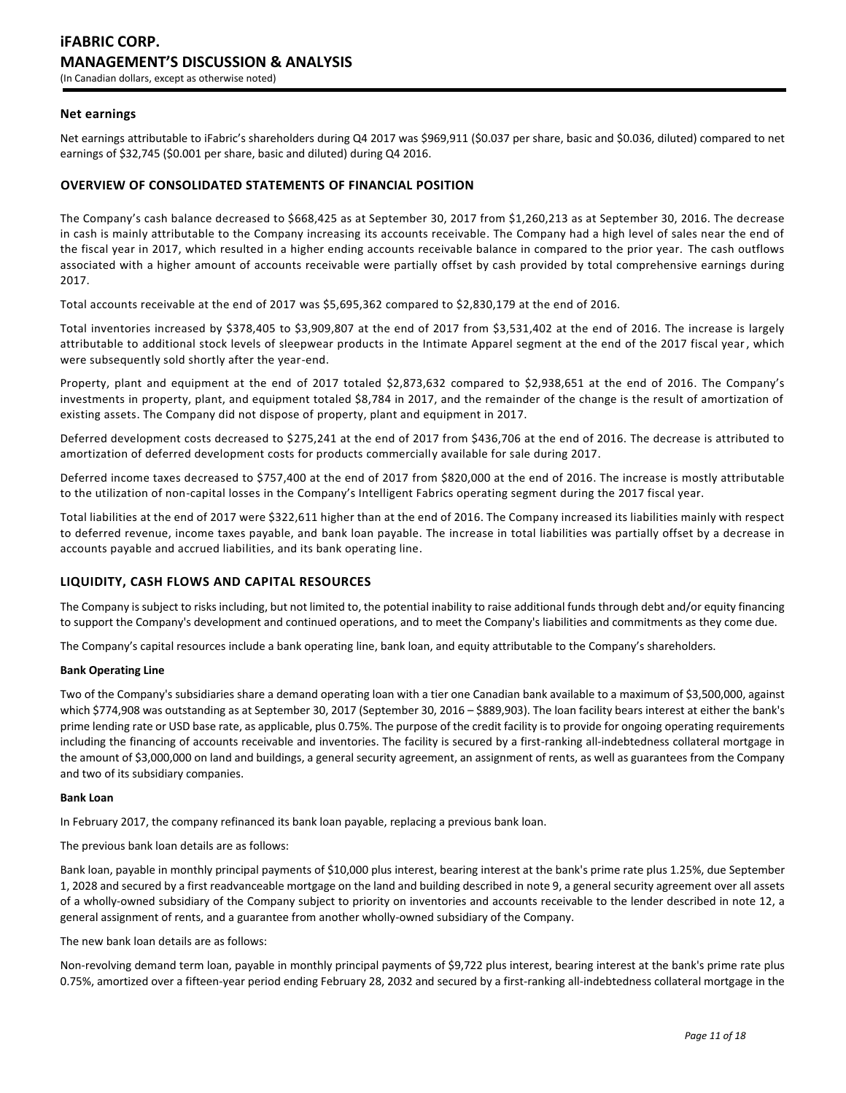# **Net earnings**

Net earnings attributable to iFabric's shareholders during Q4 2017 was \$969,911 (\$0.037 per share, basic and \$0.036, diluted) compared to net earnings of \$32,745 (\$0.001 per share, basic and diluted) during Q4 2016.

# **OVERVIEW OF CONSOLIDATED STATEMENTS OF FINANCIAL POSITION**

The Company's cash balance decreased to \$668,425 as at September 30, 2017 from \$1,260,213 as at September 30, 2016. The decrease in cash is mainly attributable to the Company increasing its accounts receivable. The Company had a high level of sales near the end of the fiscal year in 2017, which resulted in a higher ending accounts receivable balance in compared to the prior year. The cash outflows associated with a higher amount of accounts receivable were partially offset by cash provided by total comprehensive earnings during 2017.

Total accounts receivable at the end of 2017 was \$5,695,362 compared to \$2,830,179 at the end of 2016.

Total inventories increased by \$378,405 to \$3,909,807 at the end of 2017 from \$3,531,402 at the end of 2016. The increase is largely attributable to additional stock levels of sleepwear products in the Intimate Apparel segment at the end of the 2017 fiscal year, which were subsequently sold shortly after the year-end.

Property, plant and equipment at the end of 2017 totaled \$2,873,632 compared to \$2,938,651 at the end of 2016. The Company's investments in property, plant, and equipment totaled \$8,784 in 2017, and the remainder of the change is the result of amortization of existing assets. The Company did not dispose of property, plant and equipment in 2017.

Deferred development costs decreased to \$275,241 at the end of 2017 from \$436,706 at the end of 2016. The decrease is attributed to amortization of deferred development costs for products commercially available for sale during 2017.

Deferred income taxes decreased to \$757,400 at the end of 2017 from \$820,000 at the end of 2016. The increase is mostly attributable to the utilization of non-capital losses in the Company's Intelligent Fabrics operating segment during the 2017 fiscal year.

Total liabilities at the end of 2017 were \$322,611 higher than at the end of 2016. The Company increased its liabilities mainly with respect to deferred revenue, income taxes payable, and bank loan payable. The increase in total liabilities was partially offset by a decrease in accounts payable and accrued liabilities, and its bank operating line.

# **LIQUIDITY, CASH FLOWS AND CAPITAL RESOURCES**

The Company is subject to risks including, but not limited to, the potential inability to raise additional funds through debt and/or equity financing to support the Company's development and continued operations, and to meet the Company's liabilities and commitments as they come due.

The Company's capital resources include a bank operating line, bank loan, and equity attributable to the Company's shareholders.

#### **Bank Operating Line**

Two of the Company's subsidiaries share a demand operating loan with a tier one Canadian bank available to a maximum of \$3,500,000, against which \$774,908 was outstanding as at September 30, 2017 (September 30, 2016 – \$889,903). The loan facility bears interest at either the bank's prime lending rate or USD base rate, as applicable, plus 0.75%. The purpose of the credit facility is to provide for ongoing operating requirements including the financing of accounts receivable and inventories. The facility is secured by a first-ranking all-indebtedness collateral mortgage in the amount of \$3,000,000 on land and buildings, a general security agreement, an assignment of rents, as well as guarantees from the Company and two of its subsidiary companies.

#### **Bank Loan**

In February 2017, the company refinanced its bank loan payable, replacing a previous bank loan.

The previous bank loan details are as follows:

Bank loan, payable in monthly principal payments of \$10,000 plus interest, bearing interest at the bank's prime rate plus 1.25%, due September 1, 2028 and secured by a first readvanceable mortgage on the land and building described in note 9, a general security agreement over all assets of a wholly-owned subsidiary of the Company subject to priority on inventories and accounts receivable to the lender described in note 12, a general assignment of rents, and a guarantee from another wholly-owned subsidiary of the Company.

The new bank loan details are as follows:

Non-revolving demand term loan, payable in monthly principal payments of \$9,722 plus interest, bearing interest at the bank's prime rate plus 0.75%, amortized over a fifteen-year period ending February 28, 2032 and secured by a first-ranking all-indebtedness collateral mortgage in the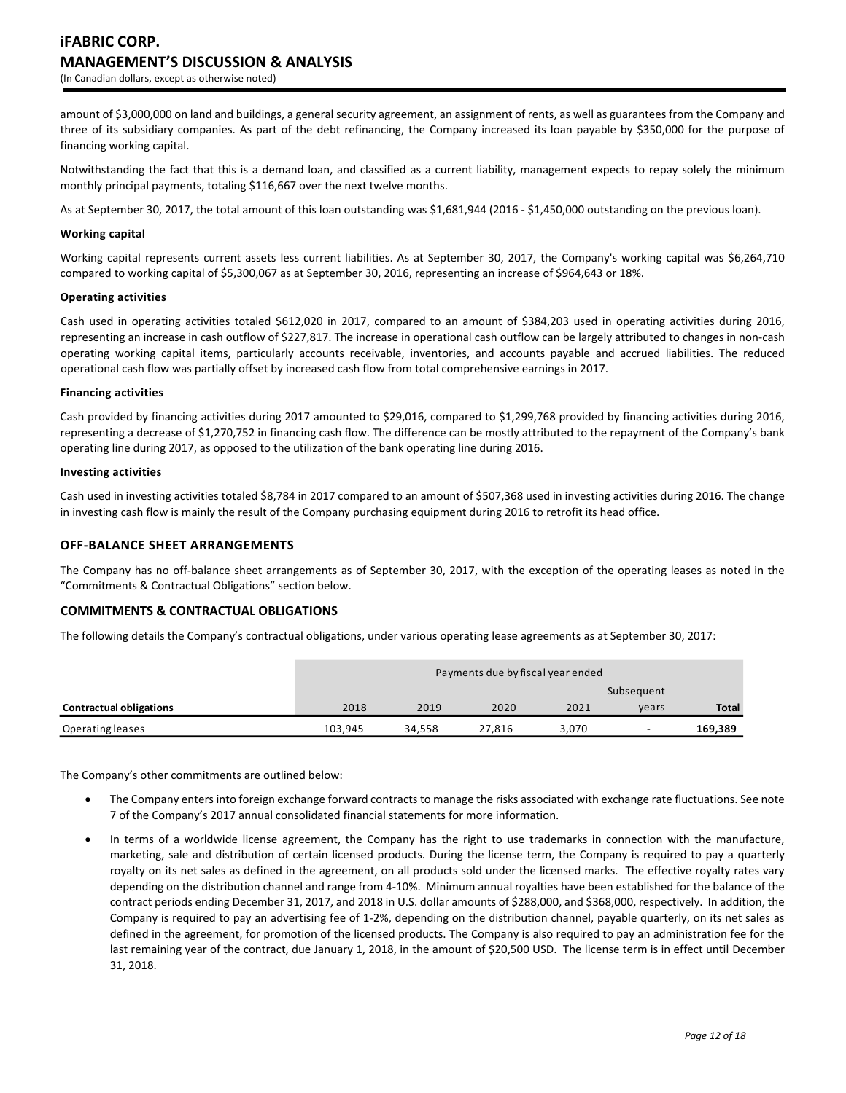amount of \$3,000,000 on land and buildings, a general security agreement, an assignment of rents, as well as guarantees from the Company and three of its subsidiary companies. As part of the debt refinancing, the Company increased its loan payable by \$350,000 for the purpose of financing working capital.

Notwithstanding the fact that this is a demand loan, and classified as a current liability, management expects to repay solely the minimum monthly principal payments, totaling \$116,667 over the next twelve months.

As at September 30, 2017, the total amount of this loan outstanding was \$1,681,944 (2016 - \$1,450,000 outstanding on the previous loan).

# **Working capital**

Working capital represents current assets less current liabilities. As at September 30, 2017, the Company's working capital was \$6,264,710 compared to working capital of \$5,300,067 as at September 30, 2016, representing an increase of \$964,643 or 18%.

# **Operating activities**

Cash used in operating activities totaled \$612,020 in 2017, compared to an amount of \$384,203 used in operating activities during 2016, representing an increase in cash outflow of \$227,817. The increase in operational cash outflow can be largely attributed to changes in non-cash operating working capital items, particularly accounts receivable, inventories, and accounts payable and accrued liabilities. The reduced operational cash flow was partially offset by increased cash flow from total comprehensive earnings in 2017.

# **Financing activities**

Cash provided by financing activities during 2017 amounted to \$29,016, compared to \$1,299,768 provided by financing activities during 2016, representing a decrease of \$1,270,752 in financing cash flow. The difference can be mostly attributed to the repayment of the Company's bank operating line during 2017, as opposed to the utilization of the bank operating line during 2016.

# **Investing activities**

Cash used in investing activities totaled \$8,784 in 2017 compared to an amount of \$507,368 used in investing activities during 2016. The change in investing cash flow is mainly the result of the Company purchasing equipment during 2016 to retrofit its head office.

# **OFF-BALANCE SHEET ARRANGEMENTS**

The Company has no off-balance sheet arrangements as of September 30, 2017, with the exception of the operating leases as noted in the "Commitments & Contractual Obligations" section below.

# **COMMITMENTS & CONTRACTUAL OBLIGATIONS**

The following details the Company's contractual obligations, under various operating lease agreements as at September 30, 2017:

|                                |         | Payments due by fiscal year ended |        |       |                          |              |
|--------------------------------|---------|-----------------------------------|--------|-------|--------------------------|--------------|
|                                |         |                                   |        |       | Subsequent               |              |
| <b>Contractual obligations</b> | 2018    | 2019                              | 2020   | 2021  | vears                    | <b>Total</b> |
| Operating leases               | 103,945 | 34,558                            | 27,816 | 3.070 | $\overline{\phantom{0}}$ | 169,389      |

The Company's other commitments are outlined below:

- The Company enters into foreign exchange forward contracts to manage the risks associated with exchange rate fluctuations. See note 7 of the Company's 2017 annual consolidated financial statements for more information.
- In terms of a worldwide license agreement, the Company has the right to use trademarks in connection with the manufacture, marketing, sale and distribution of certain licensed products. During the license term, the Company is required to pay a quarterly royalty on its net sales as defined in the agreement, on all products sold under the licensed marks. The effective royalty rates vary depending on the distribution channel and range from 4-10%. Minimum annual royalties have been established for the balance of the contract periods ending December 31, 2017, and 2018 in U.S. dollar amounts of \$288,000, and \$368,000, respectively. In addition, the Company is required to pay an advertising fee of 1-2%, depending on the distribution channel, payable quarterly, on its net sales as defined in the agreement, for promotion of the licensed products. The Company is also required to pay an administration fee for the last remaining year of the contract, due January 1, 2018, in the amount of \$20,500 USD. The license term is in effect until December 31, 2018.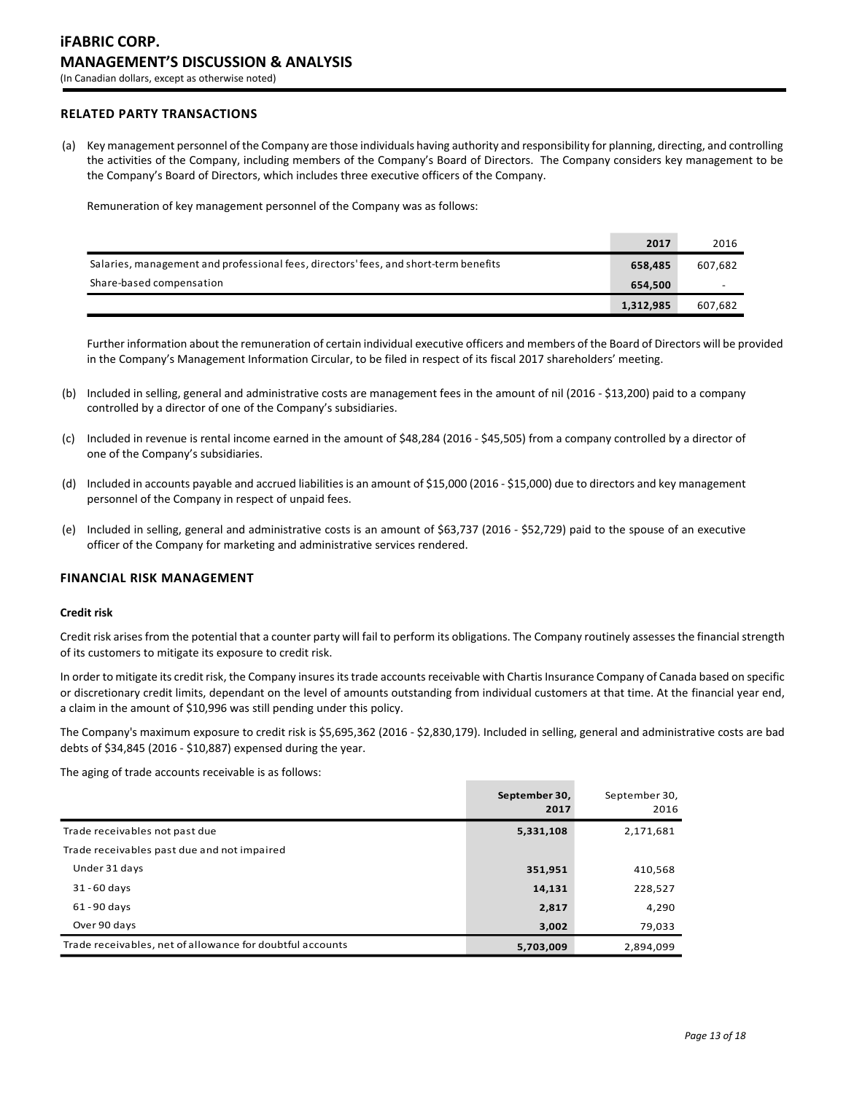# **RELATED PARTY TRANSACTIONS**

(a) Key management personnel of the Company are those individuals having authority and responsibility for planning, directing, and controlling the activities of the Company, including members of the Company's Board of Directors. The Company considers key management to be the Company's Board of Directors, which includes three executive officers of the Company.

Remuneration of key management personnel of the Company was as follows:

|                                                                                      | 2017      | 2016    |
|--------------------------------------------------------------------------------------|-----------|---------|
| Salaries, management and professional fees, directors' fees, and short-term benefits | 658.485   | 607,682 |
| Share-based compensation                                                             | 654.500   |         |
|                                                                                      | 1,312,985 | 607,682 |

Further information about the remuneration of certain individual executive officers and members of the Board of Directors will be provided in the Company's Management Information Circular, to be filed in respect of its fiscal 2017 shareholders' meeting.

- (b) Included in selling, general and administrative costs are management fees in the amount of nil (2016 \$13,200) paid to a company controlled by a director of one of the Company's subsidiaries.
- (c) Included in revenue is rental income earned in the amount of \$48,284 (2016 \$45,505) from a company controlled by a director of one of the Company's subsidiaries.
- (d) Included in accounts payable and accrued liabilities is an amount of \$15,000 (2016 \$15,000) due to directors and key management personnel of the Company in respect of unpaid fees.
- (e) Included in selling, general and administrative costs is an amount of \$63,737 (2016 \$52,729) paid to the spouse of an executive officer of the Company for marketing and administrative services rendered.

# **FINANCIAL RISK MANAGEMENT**

### **Credit risk**

Credit risk arises from the potential that a counter party will fail to perform its obligations. The Company routinely assesses the financial strength of its customers to mitigate its exposure to credit risk.

In order to mitigate its credit risk, the Company insures its trade accounts receivable with Chartis Insurance Company of Canada based on specific or discretionary credit limits, dependant on the level of amounts outstanding from individual customers at that time. At the financial year end, a claim in the amount of \$10,996 was still pending under this policy.

The Company's maximum exposure to credit risk is \$5,695,362 (2016 - \$2,830,179). Included in selling, general and administrative costs are bad debts of \$34,845 (2016 - \$10,887) expensed during the year.

The aging of trade accounts receivable is as follows:

|                                                           | September 30,<br>2017 | September 30,<br>2016 |
|-----------------------------------------------------------|-----------------------|-----------------------|
| Trade receivables not past due                            | 5,331,108             | 2,171,681             |
| Trade receivables past due and not impaired               |                       |                       |
| Under 31 days                                             | 351,951               | 410,568               |
| $31 - 60$ days                                            | 14,131                | 228,527               |
| $61 - 90$ days                                            | 2,817                 | 4,290                 |
| Over 90 days                                              | 3,002                 | 79,033                |
| Trade receivables, net of allowance for doubtful accounts | 5,703,009             | 2,894,099             |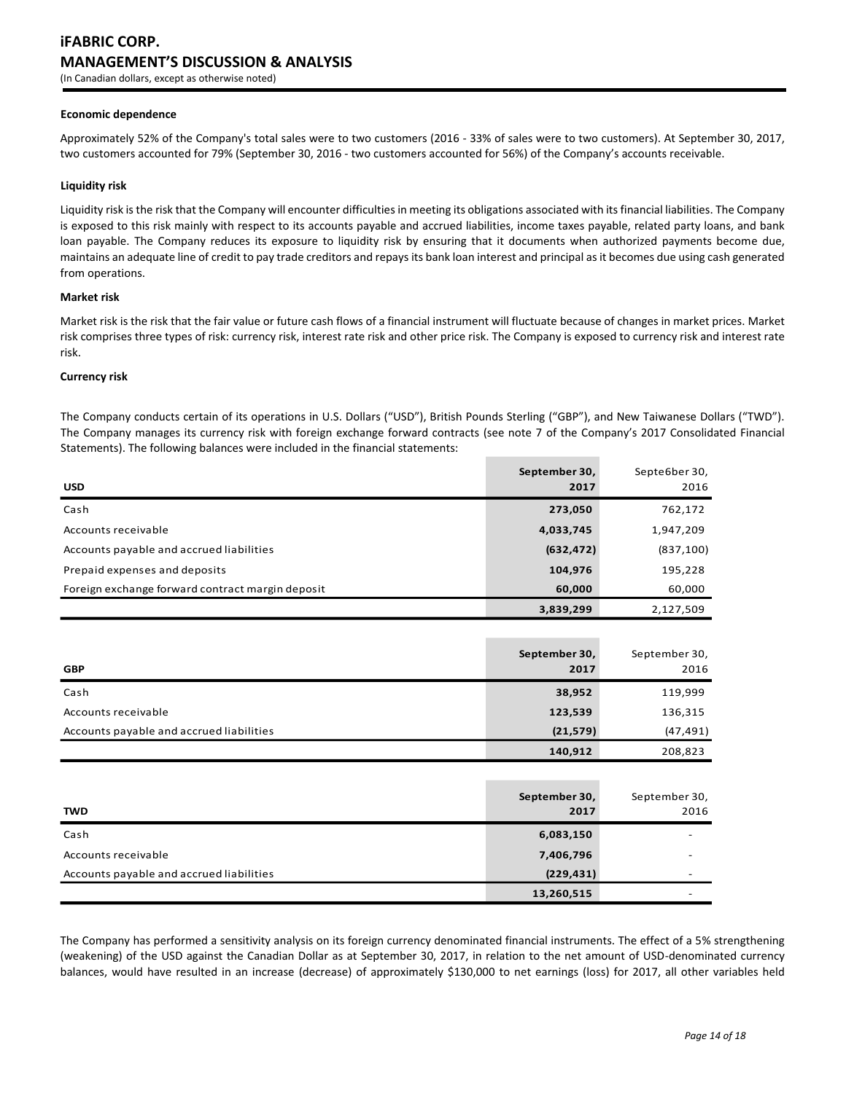#### **Economic dependence**

Approximately 52% of the Company's total sales were to two customers (2016 - 33% of sales were to two customers). At September 30, 2017, two customers accounted for 79% (September 30, 2016 - two customers accounted for 56%) of the Company's accounts receivable.

#### **Liquidity risk**

Liquidity risk is the risk that the Company will encounter difficulties in meeting its obligations associated with its financial liabilities. The Company is exposed to this risk mainly with respect to its accounts payable and accrued liabilities, income taxes payable, related party loans, and bank loan payable. The Company reduces its exposure to liquidity risk by ensuring that it documents when authorized payments become due, maintains an adequate line of credit to pay trade creditors and repays its bank loan interest and principal as it becomes due using cash generated from operations.

#### **Market risk**

Market risk is the risk that the fair value or future cash flows of a financial instrument will fluctuate because of changes in market prices. Market risk comprises three types of risk: currency risk, interest rate risk and other price risk. The Company is exposed to currency risk and interest rate risk.

#### **Currency risk**

The Company conducts certain of its operations in U.S. Dollars ("USD"), British Pounds Sterling ("GBP"), and New Taiwanese Dollars ("TWD"). The Company manages its currency risk with foreign exchange forward contracts (see note 7 of the Company's 2017 Consolidated Financial Statements). The following balances were included in the financial statements:

| <b>USD</b>                                       | September 30,<br>2017 | Septe6ber 30,<br>2016 |
|--------------------------------------------------|-----------------------|-----------------------|
| Cash                                             | 273,050               | 762,172               |
| Accounts receivable                              | 4,033,745             | 1,947,209             |
| Accounts payable and accrued liabilities         | (632, 472)            | (837, 100)            |
| Prepaid expenses and deposits                    | 104,976               | 195,228               |
| Foreign exchange forward contract margin deposit | 60,000                | 60,000                |
|                                                  | 3,839,299             | 2,127,509             |

| <b>GBP</b>                               | September 30,<br>2017 | September 30,<br>2016 |
|------------------------------------------|-----------------------|-----------------------|
| Cash                                     | 38,952                | 119,999               |
| Accounts receivable                      | 123,539               | 136,315               |
| Accounts payable and accrued liabilities | (21, 579)             | (47, 491)             |
|                                          | 140,912               | 208,823               |
|                                          |                       |                       |
| <b>TWD</b>                               | September 30,<br>2017 | September 30,<br>2016 |

| Cash                                     | 6,083,150  | $\overline{\phantom{0}}$ |
|------------------------------------------|------------|--------------------------|
| Accounts receivable                      | 7,406,796  | $\overline{\phantom{0}}$ |
| Accounts payable and accrued liabilities | (229, 431) | $\overline{\phantom{0}}$ |
|                                          | 13,260,515 | $\overline{\phantom{0}}$ |

The Company has performed a sensitivity analysis on its foreign currency denominated financial instruments. The effect of a 5% strengthening (weakening) of the USD against the Canadian Dollar as at September 30, 2017, in relation to the net amount of USD-denominated currency balances, would have resulted in an increase (decrease) of approximately \$130,000 to net earnings (loss) for 2017, all other variables held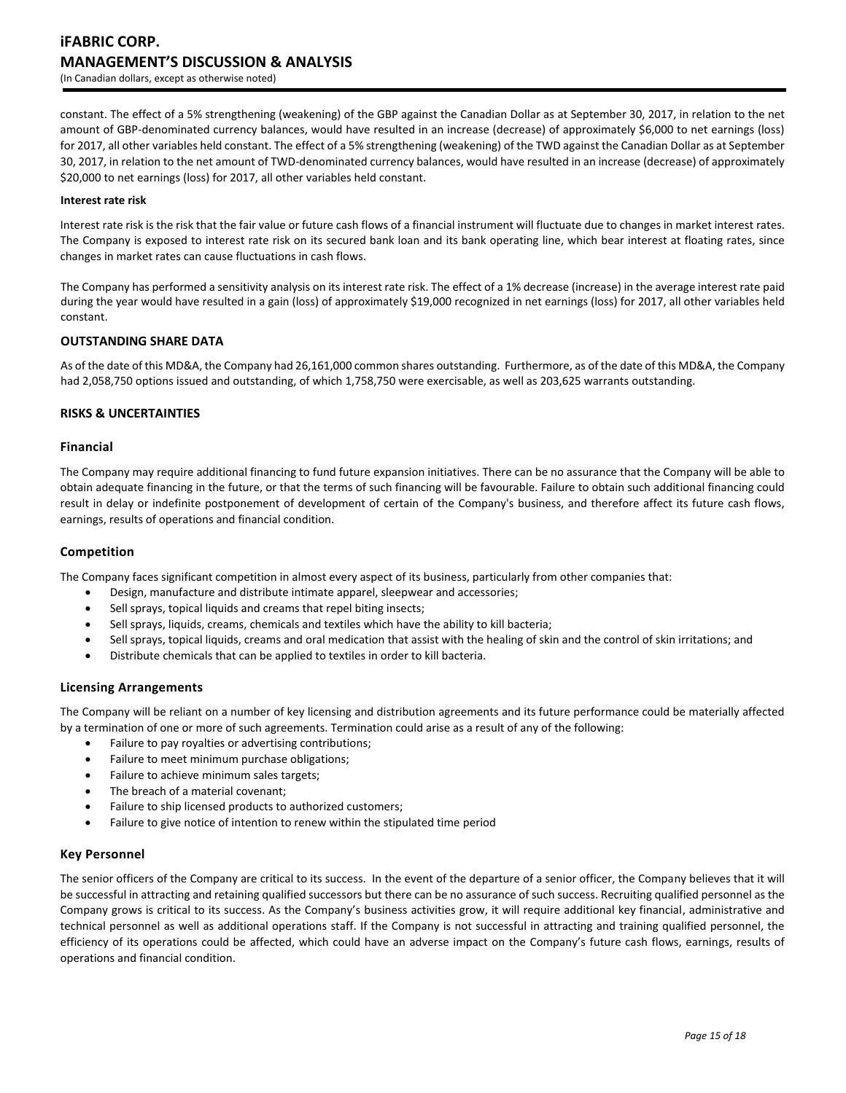constant. The effect of a 5% strengthening (weakening) of the GBP against the Canadian Dollar as at September 30, 2017, in relation to the net amount of GBP-denominated currency balances, would have resulted in an increase (decrease) of approximately \$6,000 to net earnings (loss) for 2017, all other variables held constant. The effect of a 5% strengthening (weakening) of the TWD against the Canadian Dollar as at September 30, 2017, in relation to the net amount of TWD-denominated currency balances, would have resulted in an increase (decrease) of approximately \$20,000 to net earnings (loss) for 2017, all other variables held constant.

### **Interest rate risk**

Interest rate risk is the risk that the fair value or future cash flows of a financial instrument will fluctuate due to changes in market interest rates. The Company is exposed to interest rate risk on its secured bank loan and its bank operating line, which bear interest at floating rates, since changes in market rates can cause fluctuations in cash flows.

The Company has performed a sensitivity analysis on its interest rate risk. The effect of a 1% decrease (increase) in the average interest rate paid during the year would have resulted in a gain (loss) of approximately \$19,000 recognized in net earnings (loss) for 2017, all other variables held constant.

# **OUTSTANDING SHARE DATA**

As of the date of this MD&A, the Company had 26,161,000 common shares outstanding. Furthermore, as of the date of this MD&A, the Company had 2,058,750 options issued and outstanding, of which 1,758,750 were exercisable, as well as 203,625 warrants outstanding.

# **RISKS & UNCERTAINTIES**

# **Financial**

The Company may require additional financing to fund future expansion initiatives. There can be no assurance that the Company will be able to obtain adequate financing in the future, or that the terms of such financing will be favourable. Failure to obtain such additional financing could result in delay or indefinite postponement of development of certain of the Company's business, and therefore affect its future cash flows, earnings, results of operations and financial condition.

# **Competition**

The Company faces significant competition in almost every aspect of its business, particularly from other companies that:

- Design, manufacture and distribute intimate apparel, sleepwear and accessories;
- Sell sprays, topical liquids and creams that repel biting insects;
- Sell sprays, liquids, creams, chemicals and textiles which have the ability to kill bacteria;
- Sell sprays, topical liquids, creams and oral medication that assist with the healing of skin and the control of skin irritations; and
- Distribute chemicals that can be applied to textiles in order to kill bacteria.

# **Licensing Arrangements**

The Company will be reliant on a number of key licensing and distribution agreements and its future performance could be materially affected by a termination of one or more of such agreements. Termination could arise as a result of any of the following:

- Failure to pay royalties or advertising contributions;
- Failure to meet minimum purchase obligations;
- Failure to achieve minimum sales targets;
- The breach of a material covenant;
- Failure to ship licensed products to authorized customers;
- Failure to give notice of intention to renew within the stipulated time period

# **Key Personnel**

The senior officers of the Company are critical to its success. In the event of the departure of a senior officer, the Company believes that it will be successful in attracting and retaining qualified successors but there can be no assurance of such success. Recruiting qualified personnel as the Company grows is critical to its success. As the Company's business activities grow, it will require additional key financial, administrative and technical personnel as well as additional operations staff. If the Company is not successful in attracting and training qualified personnel, the efficiency of its operations could be affected, which could have an adverse impact on the Company's future cash flows, earnings, results of operations and financial condition.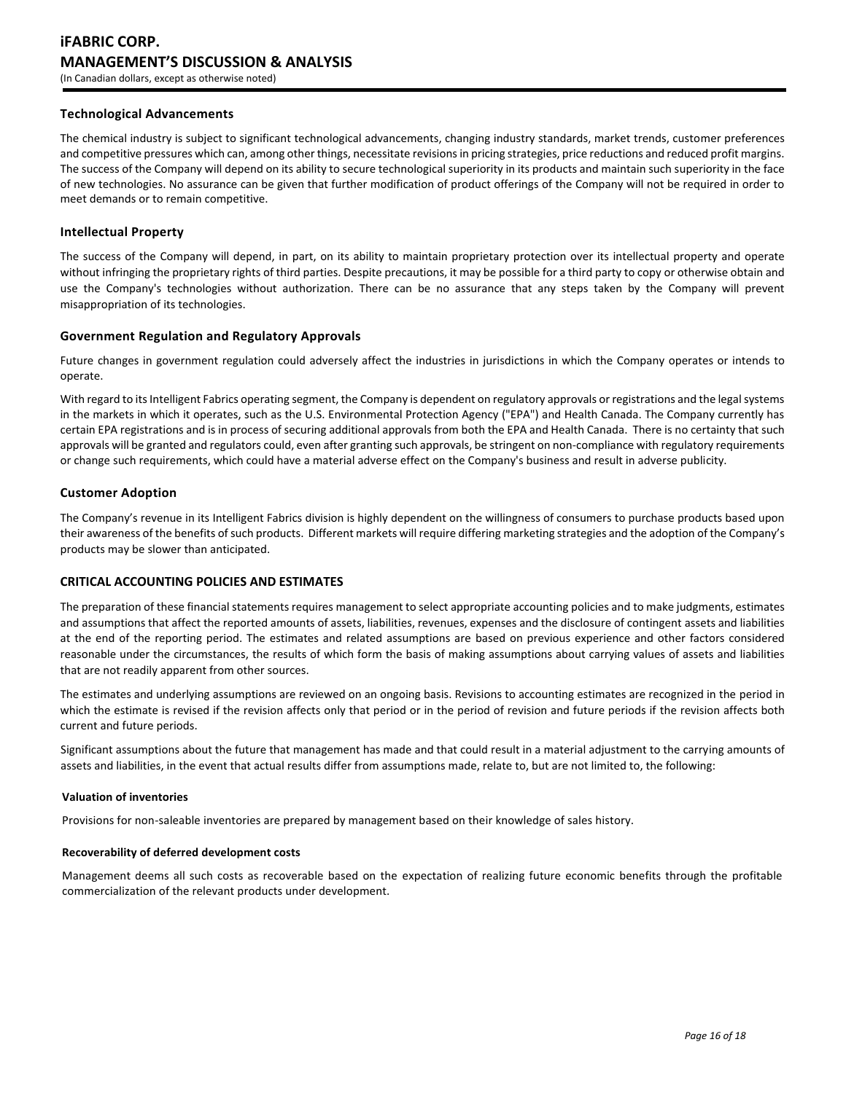# **Technological Advancements**

The chemical industry is subject to significant technological advancements, changing industry standards, market trends, customer preferences and competitive pressures which can, among other things, necessitate revisions in pricing strategies, price reductions and reduced profit margins. The success of the Company will depend on its ability to secure technological superiority in its products and maintain such superiority in the face of new technologies. No assurance can be given that further modification of product offerings of the Company will not be required in order to meet demands or to remain competitive.

# **Intellectual Property**

The success of the Company will depend, in part, on its ability to maintain proprietary protection over its intellectual property and operate without infringing the proprietary rights of third parties. Despite precautions, it may be possible for a third party to copy or otherwise obtain and use the Company's technologies without authorization. There can be no assurance that any steps taken by the Company will prevent misappropriation of its technologies.

# **Government Regulation and Regulatory Approvals**

Future changes in government regulation could adversely affect the industries in jurisdictions in which the Company operates or intends to operate.

With regard to its Intelligent Fabrics operating segment, the Company is dependent on regulatory approvals or registrations and the legal systems in the markets in which it operates, such as the U.S. Environmental Protection Agency ("EPA") and Health Canada. The Company currently has certain EPA registrations and is in process of securing additional approvals from both the EPA and Health Canada. There is no certainty that such approvals will be granted and regulators could, even after granting such approvals, be stringent on non-compliance with regulatory requirements or change such requirements, which could have a material adverse effect on the Company's business and result in adverse publicity.

# **Customer Adoption**

The Company's revenue in its Intelligent Fabrics division is highly dependent on the willingness of consumers to purchase products based upon their awareness of the benefits of such products. Different markets will require differing marketing strategies and the adoption of the Company's products may be slower than anticipated.

# **CRITICAL ACCOUNTING POLICIES AND ESTIMATES**

The preparation of these financial statements requires management to select appropriate accounting policies and to make judgments, estimates and assumptions that affect the reported amounts of assets, liabilities, revenues, expenses and the disclosure of contingent assets and liabilities at the end of the reporting period. The estimates and related assumptions are based on previous experience and other factors considered reasonable under the circumstances, the results of which form the basis of making assumptions about carrying values of assets and liabilities that are not readily apparent from other sources.

The estimates and underlying assumptions are reviewed on an ongoing basis. Revisions to accounting estimates are recognized in the period in which the estimate is revised if the revision affects only that period or in the period of revision and future periods if the revision affects both current and future periods.

Significant assumptions about the future that management has made and that could result in a material adjustment to the carrying amounts of assets and liabilities, in the event that actual results differ from assumptions made, relate to, but are not limited to, the following:

# **Valuation of inventories**

Provisions for non-saleable inventories are prepared by management based on their knowledge of sales history.

# **Recoverability of deferred development costs**

Management deems all such costs as recoverable based on the expectation of realizing future economic benefits through the profitable commercialization of the relevant products under development.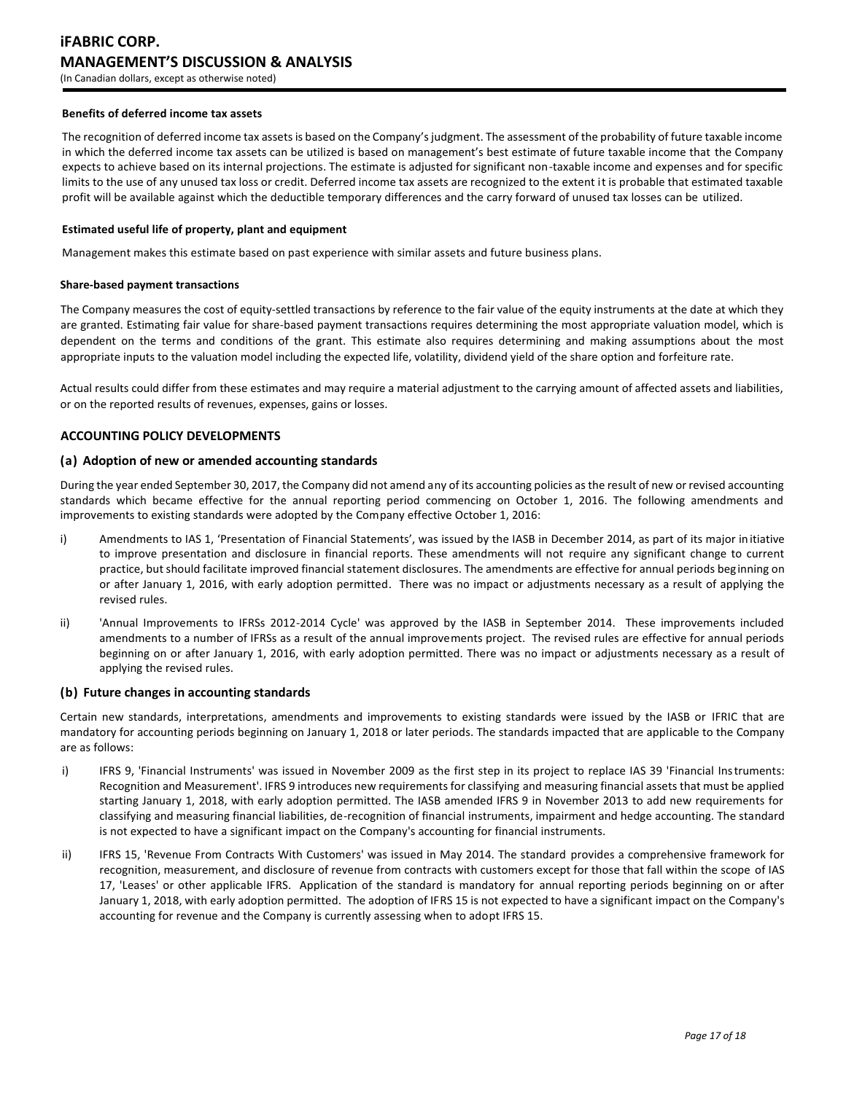### **Benefits of deferred income tax assets**

The recognition of deferred income tax assets is based on the Company's judgment. The assessment of the probability of future taxable income in which the deferred income tax assets can be utilized is based on management's best estimate of future taxable income that the Company expects to achieve based on its internal projections. The estimate is adjusted for significant non-taxable income and expenses and for specific limits to the use of any unused tax loss or credit. Deferred income tax assets are recognized to the extent it is probable that estimated taxable profit will be available against which the deductible temporary differences and the carry forward of unused tax losses can be utilized.

### **Estimated useful life of property, plant and equipment**

Management makes this estimate based on past experience with similar assets and future business plans.

#### **Share-based payment transactions**

The Company measures the cost of equity-settled transactions by reference to the fair value of the equity instruments at the date at which they are granted. Estimating fair value for share-based payment transactions requires determining the most appropriate valuation model, which is dependent on the terms and conditions of the grant. This estimate also requires determining and making assumptions about the most appropriate inputs to the valuation model including the expected life, volatility, dividend yield of the share option and forfeiture rate.

Actual results could differ from these estimates and may require a material adjustment to the carrying amount of affected assets and liabilities, or on the reported results of revenues, expenses, gains or losses.

# **ACCOUNTING POLICY DEVELOPMENTS**

# **(a) Adoption of new or amended accounting standards**

During the year ended September 30, 2017, the Company did not amend any of its accounting policies as the result of new or revised accounting standards which became effective for the annual reporting period commencing on October 1, 2016. The following amendments and improvements to existing standards were adopted by the Company effective October 1, 2016:

- i) Amendments to IAS 1, 'Presentation of Financial Statements', was issued by the IASB in December 2014, as part of its major initiative to improve presentation and disclosure in financial reports. These amendments will not require any significant change to current practice, but should facilitate improved financial statement disclosures. The amendments are effective for annual periods beginning on or after January 1, 2016, with early adoption permitted. There was no impact or adjustments necessary as a result of applying the revised rules.
- ii) 'Annual Improvements to IFRSs 2012-2014 Cycle' was approved by the IASB in September 2014. These improvements included amendments to a number of IFRSs as a result of the annual improvements project. The revised rules are effective for annual periods beginning on or after January 1, 2016, with early adoption permitted. There was no impact or adjustments necessary as a result of applying the revised rules.

#### **(b) Future changes in accounting standards**

Certain new standards, interpretations, amendments and improvements to existing standards were issued by the IASB or IFRIC that are mandatory for accounting periods beginning on January 1, 2018 or later periods. The standards impacted that are applicable to the Company are as follows:

- i) IFRS 9, 'Financial Instruments' was issued in November 2009 as the first step in its project to replace IAS 39 'Financial Instruments: Recognition and Measurement'. IFRS 9 introduces new requirements for classifying and measuring financial assets that must be applied starting January 1, 2018, with early adoption permitted. The IASB amended IFRS 9 in November 2013 to add new requirements for classifying and measuring financial liabilities, de-recognition of financial instruments, impairment and hedge accounting. The standard is not expected to have a significant impact on the Company's accounting for financial instruments.
- ii) IFRS 15, 'Revenue From Contracts With Customers' was issued in May 2014. The standard provides a comprehensive framework for recognition, measurement, and disclosure of revenue from contracts with customers except for those that fall within the scope of IAS 17, 'Leases' or other applicable IFRS. Application of the standard is mandatory for annual reporting periods beginning on or after January 1, 2018, with early adoption permitted. The adoption of IFRS 15 is not expected to have a significant impact on the Company's accounting for revenue and the Company is currently assessing when to adopt IFRS 15.